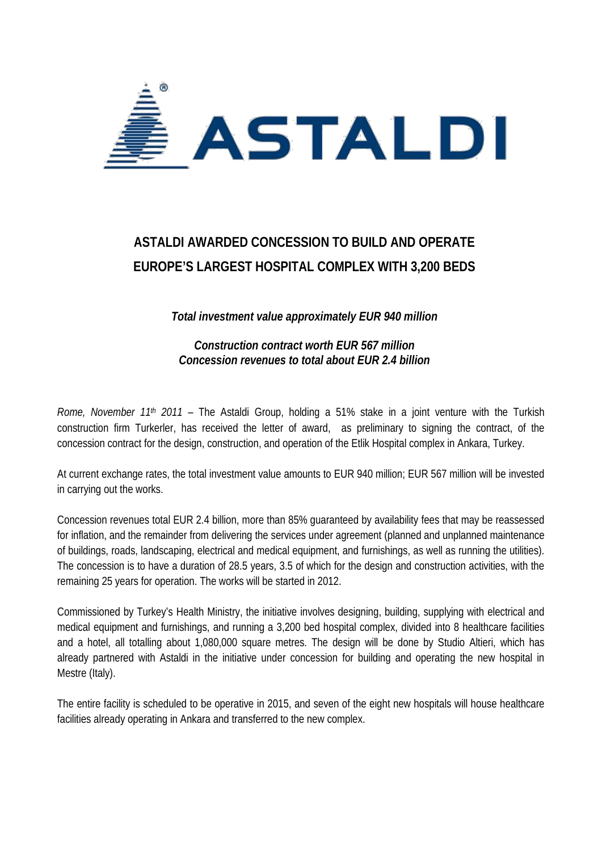

## **ASTALDI AWARDED CONCESSION TO BUILD AND OPERATE EUROPE'S LARGEST HOSPITAL COMPLEX WITH 3,200 BEDS**

*Total investment value approximately EUR 940 million*

*Construction contract worth EUR 567 million Concession revenues to total about EUR 2.4 billion*

*Rome, November 11th 2011* – The Astaldi Group, holding a 51% stake in a joint venture with the Turkish construction firm Turkerler, has received the letter of award, as preliminary to signing the contract, of the concession contract for the design, construction, and operation of the Etlik Hospital complex in Ankara, Turkey.

At current exchange rates, the total investment value amounts to EUR 940 million; EUR 567 million will be invested in carrying out the works.

Concession revenues total EUR 2.4 billion, more than 85% guaranteed by availability fees that may be reassessed for inflation, and the remainder from delivering the services under agreement (planned and unplanned maintenance of buildings, roads, landscaping, electrical and medical equipment, and furnishings, as well as running the utilities). The concession is to have a duration of 28.5 years, 3.5 of which for the design and construction activities, with the remaining 25 years for operation. The works will be started in 2012.

Commissioned by Turkey's Health Ministry, the initiative involves designing, building, supplying with electrical and medical equipment and furnishings, and running a 3,200 bed hospital complex, divided into 8 healthcare facilities and a hotel, all totalling about 1,080,000 square metres. The design will be done by Studio Altieri, which has already partnered with Astaldi in the initiative under concession for building and operating the new hospital in Mestre (Italy).

The entire facility is scheduled to be operative in 2015, and seven of the eight new hospitals will house healthcare facilities already operating in Ankara and transferred to the new complex.